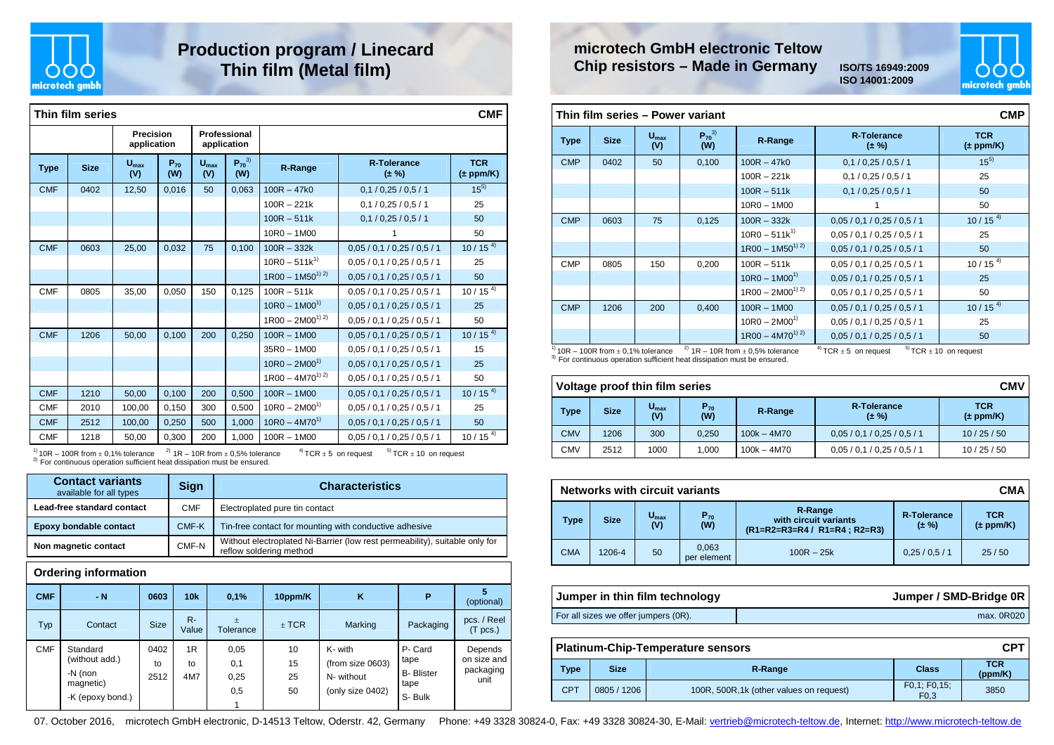

## **Production program / Linecard Thin film (Metal film)**

|             | Thin film series<br><b>CMF</b> |                          |                 |                         |                             |                     |                                  |                             |  |  |
|-------------|--------------------------------|--------------------------|-----------------|-------------------------|-----------------------------|---------------------|----------------------------------|-----------------------------|--|--|
|             |                                | Precision<br>application |                 |                         | Professional<br>application |                     |                                  |                             |  |  |
| <b>Type</b> | <b>Size</b>                    | $U_{\text{max}}$<br>(V)  | $P_{70}$<br>(W) | $U_{\text{max}}$<br>(V) | $P_{70}^{3)}$<br>(W)        | R-Range             | <b>R-Tolerance</b><br>$(\pm \%)$ | <b>TCR</b><br>$(\pm$ ppm/K) |  |  |
| <b>CMF</b>  | 0402                           | 12,50                    | 0,016           | 50                      | 0,063                       | $100R - 47k0$       | 0,1/0,25/0,5/1                   | $15^{5}$                    |  |  |
|             |                                |                          |                 |                         |                             | $100R - 221k$       | 0,1/0.25/0.5/1                   | 25                          |  |  |
|             |                                |                          |                 |                         |                             | $100R - 511k$       | 0,1/0,25/0,5/1                   | 50                          |  |  |
|             |                                |                          |                 |                         |                             | $10R0 - 1M00$       | 1                                | 50                          |  |  |
| <b>CMF</b>  | 0603                           | 25,00                    | 0,032           | 75                      | 0,100                       | $100R - 332k$       | 0,05/0,1/0,25/0,5/1              | $10/15^{4}$                 |  |  |
|             |                                |                          |                 |                         |                             | $10R0 - 511k^{1}$   | 0.05 / 0.1 / 0.25 / 0.5 / 1      | 25                          |  |  |
|             |                                |                          |                 |                         |                             | $1R00 - 1M50^{1/2}$ | 0.05 / 0.1 / 0.25 / 0.5 / 1      | 50                          |  |  |
| <b>CMF</b>  | 0805                           | 35,00                    | 0,050           | 150                     | 0,125                       | $100R - 511k$       | 0.05 / 0.1 / 0.25 / 0.5 / 1      | $10/15^{4}$                 |  |  |
|             |                                |                          |                 |                         |                             | $10R0 - 1M00^{1}$   | 0.05 / 0.1 / 0.25 / 0.5 / 1      | 25                          |  |  |
|             |                                |                          |                 |                         |                             | $1R00 - 2M00^{1/2}$ | 0.05 / 0.1 / 0.25 / 0.5 / 1      | 50                          |  |  |
| <b>CMF</b>  | 1206                           | 50,00                    | 0,100           | 200                     | 0,250                       | $100R - 1M00$       | 0.05 / 0.1 / 0.25 / 0.5 / 1      | $10/15^{4}$                 |  |  |
|             |                                |                          |                 |                         |                             | $35R0 - 1M00$       | 0.05 / 0.1 / 0.25 / 0.5 / 1      | 15                          |  |  |
|             |                                |                          |                 |                         |                             | $10R0 - 2M00^{1}$   | 0.05 / 0.1 / 0.25 / 0.5 / 1      | 25                          |  |  |
|             |                                |                          |                 |                         |                             | $1R00 - 4M70^{1/2}$ | 0.05 / 0.1 / 0.25 / 0.5 / 1      | 50                          |  |  |
| <b>CMF</b>  | 1210                           | 50,00                    | 0,100           | 200                     | 0,500                       | $100R - 1M00$       | 0.05 / 0.1 / 0.25 / 0.5 / 1      | $10/15^{4}$                 |  |  |
| <b>CMF</b>  | 2010                           | 100,00                   | 0,150           | 300                     | 0,500                       | $10R0 - 2M00^{1}$   | 0.05 / 0.1 / 0.25 / 0.5 / 1      | 25                          |  |  |
| <b>CMF</b>  | 2512                           | 100,00                   | 0,250           | 500                     | 1,000                       | $10R0 - 4M70^{1}$   | 0.05 / 0.1 / 0.25 / 0.5 / 1      | 50                          |  |  |
| <b>CMF</b>  | 1218                           | 50,00                    | 0,300           | 200                     | 1,000                       | $100R - 1M00$       | 0.05 / 0.1 / 0.25 / 0.5 / 1      | $10/15^{4}$                 |  |  |

 $^{11}_{20}$  10R – 100R from  $\pm$  0,1% tolerance  $^{2)}$  1R – 10R from  $\pm$  0,5% tolerance  $^{41}$  TCR  $\pm$  5 on request  $^{51}$  TCR  $\pm$  10 on request <sup>3)</sup> For continuous operation sufficient heat dissipation must be ensured.

| <b>Contact variants</b><br>available for all types | Sign       | <b>Characteristics</b>                                                                                 |
|----------------------------------------------------|------------|--------------------------------------------------------------------------------------------------------|
| Lead-free standard contact                         | <b>CMF</b> | Electroplated pure tin contact                                                                         |
| Epoxy bondable contact                             | CMF-K      | Tin-free contact for mounting with conductive adhesive                                                 |
| Non magnetic contact                               | CMF-N      | Without electroplated Ni-Barrier (low rest permeability), suitable only for<br>reflow soldering method |

#### **Ordering information**

| <b>CMF</b> | - N                                                                    | 0603               | 10k             | 0,1%                       | 10ppm/K              | K                                                             | P                                                    | 5<br>(optional)                             |
|------------|------------------------------------------------------------------------|--------------------|-----------------|----------------------------|----------------------|---------------------------------------------------------------|------------------------------------------------------|---------------------------------------------|
| Typ        | Contact                                                                | <b>Size</b>        | $R -$<br>Value  | $\pm$<br>Tolerance         | $±$ TCR              | Marking                                                       | Packaging                                            | pcs. / Reel<br>(T <sub>pcs.</sub> )         |
| <b>CMF</b> | Standard<br>(without add.)<br>-N (non<br>magnetic)<br>-K (epoxy bond.) | 0402<br>to<br>2512 | 1R<br>to<br>4M7 | 0,05<br>0,1<br>0,25<br>0,5 | 10<br>15<br>25<br>50 | K- with<br>(from size 0603)<br>N- without<br>(only size 0402) | P-Card<br>tape<br><b>B-Blister</b><br>tape<br>S-Bulk | Depends<br>on size and<br>packaging<br>unit |



**ISO 14001:2009**



|             | Thin film series - Power variant |                         |                      |                     |                                  |                             |  |  |  |
|-------------|----------------------------------|-------------------------|----------------------|---------------------|----------------------------------|-----------------------------|--|--|--|
| <b>Type</b> | <b>Size</b>                      | $U_{\text{max}}$<br>(V) | $P_{70}^{3)}$<br>(W) | R-Range             | <b>R-Tolerance</b><br>$(\pm \%)$ | <b>TCR</b><br>$(\pm$ ppm/K) |  |  |  |
| <b>CMP</b>  | 0402                             | 50                      | 0,100                | $100R - 47k0$       | 0,1/0,25/0,5/1                   | $15^{5}$                    |  |  |  |
|             |                                  |                         |                      | $100R - 221k$       | 0,1/0,25/0,5/1                   | 25                          |  |  |  |
|             |                                  |                         |                      | $100R - 511k$       | 0,1/0,25/0,5/1                   | 50                          |  |  |  |
|             |                                  |                         |                      | $10R0 - 1M00$       |                                  | 50                          |  |  |  |
| <b>CMP</b>  | 0603                             | 75                      | 0,125                | $100R - 332k$       | 0,05/0,1/0,25/0,5/1              | $10/15^{4}$                 |  |  |  |
|             |                                  |                         |                      | $10R0 - 511k^{1}$   | 0.05 / 0.1 / 0.25 / 0.5 / 1      | 25                          |  |  |  |
|             |                                  |                         |                      | $1R00 - 1M50^{1/2}$ | 0.05 / 0.1 / 0.25 / 0.5 / 1      | 50                          |  |  |  |
| <b>CMP</b>  | 0805                             | 150                     | 0,200                | $100R - 511k$       | 0.05 / 0.1 / 0.25 / 0.5 / 1      | $10/15^{4}$                 |  |  |  |
|             |                                  |                         |                      | $10R0 - 1M00^{1}$   | 0.05 / 0.1 / 0.25 / 0.5 / 1      | 25                          |  |  |  |
|             |                                  |                         |                      | $1R00 - 2M00^{1/2}$ | 0.05 / 0.1 / 0.25 / 0.5 / 1      | 50                          |  |  |  |
| <b>CMP</b>  | 1206                             | 200                     | 0,400                | $100R - 1M00$       | 0,05/0,1/0,25/0,5/1              | $10/15^{4}$                 |  |  |  |
|             |                                  |                         |                      | $10R0 - 2M00^{1}$   | 0.05 / 0.1 / 0.25 / 0.5 / 1      | 25                          |  |  |  |
|             |                                  |                         |                      | $1R00 - 4M70^{1/2}$ | 0.05 / 0.1 / 0.25 / 0.5 / 1      | 50                          |  |  |  |

#### $\frac{1}{10}$  10R – 100R from  $\pm$  0,1% tolerance  $3)$  For continuous

<sup>2)</sup>  $1R - 10R$  from  $\pm$  0,5% tolerance  $4)$  TCR  $\pm$  5 on request  $5)$  TCR  $\pm$  10 on request

| us operation sufficient heat dissipation must be ensured. |  |
|-----------------------------------------------------------|--|

| <b>CMV</b><br>Voltage proof thin film series |             |                         |                 |               |                             |                             |  |  |  |
|----------------------------------------------|-------------|-------------------------|-----------------|---------------|-----------------------------|-----------------------------|--|--|--|
| <b>Type</b>                                  | <b>Size</b> | $U_{\text{max}}$<br>(V) | $P_{70}$<br>(W) | R-Range       | R-Tolerance<br>$(\pm \%)$   | <b>TCR</b><br>$(\pm$ ppm/K) |  |  |  |
| <b>CMV</b>                                   | 1206        | 300                     | 0.250           | $100k - 4M70$ | 0.05 / 0.1 / 0.25 / 0.5 / 1 | 10/25/50                    |  |  |  |
| <b>CMV</b>                                   | 2512        | 1000                    | 1.000           | $100k - 4M70$ | 0.05 / 0.1 / 0.25 / 0.5 / 1 | 10/25/50                    |  |  |  |

|             | <b>CMA</b><br><b>Networks with circuit variants</b> |                         |                      |                                                                     |                          |                             |  |  |  |  |
|-------------|-----------------------------------------------------|-------------------------|----------------------|---------------------------------------------------------------------|--------------------------|-----------------------------|--|--|--|--|
| <b>Type</b> | <b>Size</b>                                         | $U_{\text{max}}$<br>(V) | $P_{70}$<br>(W)      | R-Range<br>with circuit variants<br>$(R1=R2=R3=R4 / R1=R4 : R2=R3)$ | R-Tolerance<br>$(1. \%)$ | <b>TCR</b><br>$(\pm$ ppm/K) |  |  |  |  |
| <b>CMA</b>  | 1206-4                                              | 50                      | 0.063<br>per element | $100R - 25k$                                                        | 0.25/0.5/1               | 25/50                       |  |  |  |  |

| Jumper in thin film technology       | Jumper / SMD-Bridge 0R |
|--------------------------------------|------------------------|
| For all sizes we offer jumpers (OR). | max. 0R020             |

|            | <b>CPT</b><br><b>Platinum-Chip-Temperature sensors</b> |                                          |                                  |                       |  |  |  |
|------------|--------------------------------------------------------|------------------------------------------|----------------------------------|-----------------------|--|--|--|
| Type       | <b>Size</b>                                            | R-Range                                  | Class                            | <b>TCR</b><br>(ppm/K) |  |  |  |
| <b>CPT</b> | 0805 / 1206                                            | 100R, 500R, 1k (other values on request) | F0,1; F0,15;<br>F <sub>0,3</sub> | 3850                  |  |  |  |

07. October 2016, microtech GmbH electronic, D-14513 Teltow, Oderstr. 42, Germany Phone: +49 3328 30824-0, Fax: +49 3328 30824-30, E-Mail: vertrieb@microtech-teltow.de, Internet: http://www.microtech-teltow.de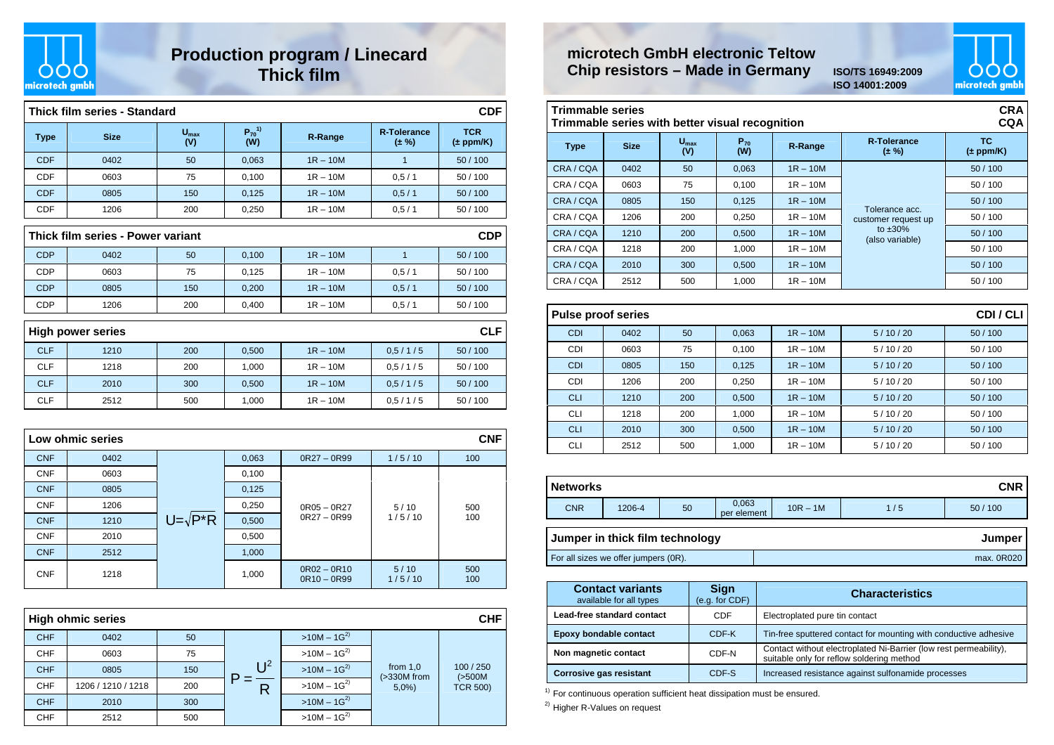

### **Production program / Linecard Thick film**

|             | Thick film series - Standard                    |                         |                      |                |                             | <b>CDF</b>                  |  |  |  |  |
|-------------|-------------------------------------------------|-------------------------|----------------------|----------------|-----------------------------|-----------------------------|--|--|--|--|
| <b>Type</b> | <b>Size</b>                                     | $U_{\text{max}}$<br>(V) | $P_{70}^{1)}$<br>(W) | <b>R-Range</b> | <b>R-Tolerance</b><br>(± %) | <b>TCR</b><br>$(\pm$ ppm/K) |  |  |  |  |
| <b>CDF</b>  | 0402                                            | 50                      | 0,063                | $1R - 10M$     | 1                           | 50/100                      |  |  |  |  |
| CDF         | 0603                                            | 75                      | 0,100                | $1R - 10M$     | 0,5/1                       | 50 / 100                    |  |  |  |  |
| <b>CDF</b>  | 0805                                            | 150                     | 0,125                | $1R - 10M$     | 0,5/1                       | 50 / 100                    |  |  |  |  |
| <b>CDF</b>  | 1206                                            | 200                     | 0,250                | $1R - 10M$     | 0,5/1                       | 50 / 100                    |  |  |  |  |
|             | Thick film series - Power variant<br><b>CDP</b> |                         |                      |                |                             |                             |  |  |  |  |
| <b>CDP</b>  | 0402                                            | 50                      | 0,100                | $1R - 10M$     | $\mathbf{1}$                | 50 / 100                    |  |  |  |  |
| <b>CDP</b>  | 0603                                            | 75                      | 0,125                | $1R - 10M$     | 0.5/1                       | 50/100                      |  |  |  |  |
| <b>CDP</b>  | 0805                                            | 150                     | 0,200                | $1R - 10M$     | 0.5/1                       | 50 / 100                    |  |  |  |  |
| <b>CDP</b>  | 1206                                            | 200                     | 0,400                | $1R - 10M$     | 0,5/1                       | 50 / 100                    |  |  |  |  |
|             | <b>High power series</b>                        |                         |                      |                |                             | <b>CLF</b>                  |  |  |  |  |
| <b>CLF</b>  | 1210                                            | 200                     | 0,500                | $1R - 10M$     | 0.5/1/5                     | 50 / 100                    |  |  |  |  |
| <b>CLF</b>  | 1218                                            | 200                     | 1.000                | $1R - 10M$     | 0.5/1/5                     | 50/100                      |  |  |  |  |
| <b>CLF</b>  | 2010                                            | 300                     | 0,500                | $1R - 10M$     | 0.5/1/5                     | 50 / 100                    |  |  |  |  |
| <b>CLF</b>  | 2512                                            | 500                     | 1,000                | $1R - 10M$     | 0,5/1/5                     | 50 / 100                    |  |  |  |  |
|             |                                                 |                         |                      |                |                             |                             |  |  |  |  |
|             | <b>CNF</b><br>Low ohmic series                  |                         |                      |                |                             |                             |  |  |  |  |
|             |                                                 |                         |                      |                |                             |                             |  |  |  |  |

| <b>CNF</b> | 0402 |                   | 0,063 | $0R27 - 0R99$                  | 1/5/10         | 100        |
|------------|------|-------------------|-------|--------------------------------|----------------|------------|
| <b>CNF</b> | 0603 |                   | 0,100 | $0R05 - 0R27$<br>$0R27 - 0R99$ | 5/10<br>1/5/10 |            |
| <b>CNF</b> | 0805 | $U = \sqrt{P^*R}$ | 0,125 |                                |                |            |
| <b>CNF</b> | 1206 |                   | 0,250 |                                |                | 500        |
| <b>CNF</b> | 1210 |                   | 0,500 |                                |                | 100        |
| <b>CNF</b> | 2010 |                   | 0,500 |                                |                |            |
| <b>CNF</b> | 2512 |                   | 1,000 |                                |                |            |
| <b>CNF</b> | 1218 |                   | 1,000 | $OR02 - OR10$<br>$0R10 - 0R99$ | 5/10<br>1/5/10 | 500<br>100 |

|            | <b>High ohmic series</b><br><b>CHF</b> |     |      |                 |                              |                      |  |  |  |
|------------|----------------------------------------|-----|------|-----------------|------------------------------|----------------------|--|--|--|
| <b>CHF</b> | 0402                                   | 50  |      | $>10M - 1G^{2}$ |                              |                      |  |  |  |
| <b>CHF</b> | 0603                                   | 75  |      | $>10M - 1G^{2}$ |                              |                      |  |  |  |
| <b>CHF</b> | 0805                                   | 150 | ု ၂2 | $>10M - 1G^{2}$ | from $1,0$<br>$($ >330M from | 100 / 250<br>(>500M) |  |  |  |
| <b>CHF</b> | 1206 / 1210 / 1218                     | 200 | R    | $>10M - 1G^{2}$ | 5,0%                         | <b>TCR 500)</b>      |  |  |  |
| <b>CHF</b> | 2010                                   | 300 |      | $>10M - 1G^{2}$ |                              |                      |  |  |  |
| <b>CHF</b> | 2512                                   | 500 |      | $>10M - 1G^{2}$ |                              |                      |  |  |  |

#### **microtech GmbH electronic TeltowChip resistors – Made in Germany**

 **ISO/TS 16949:2009 ISO 14001:2009**



#### **Trimmable series Trimmable series with better visual recognition**

| <b>CRA</b><br><b>Trimmable series</b><br><b>CQA</b><br>Trimmable series with better visual recognition |             |                         |                 |            |                                       |                      |  |  |  |
|--------------------------------------------------------------------------------------------------------|-------------|-------------------------|-----------------|------------|---------------------------------------|----------------------|--|--|--|
| <b>Type</b>                                                                                            | <b>Size</b> | $U_{\text{max}}$<br>(V) | $P_{70}$<br>(W) | R-Range    | <b>R-Tolerance</b><br>$(\pm \%)$      | TC.<br>$(\pm$ ppm/K) |  |  |  |
| CRA/CQA                                                                                                | 0402        | 50                      | 0,063           | $1R - 10M$ |                                       | 50/100               |  |  |  |
| CRA/CQA                                                                                                | 0603        | 75                      | 0,100           | $1R - 10M$ |                                       | 50/100               |  |  |  |
| CRA/CQA                                                                                                | 0805        | 150                     | 0,125           | $1R - 10M$ |                                       | 50/100               |  |  |  |
| CRA/CQA                                                                                                | 1206        | 200                     | 0,250           | $1R - 10M$ | Tolerance acc.<br>customer request up | 50/100               |  |  |  |
| CRA/CQA                                                                                                | 1210        | 200                     | 0,500           | $1R - 10M$ | to $\pm 30\%$<br>(also variable)      | 50/100               |  |  |  |
| CRA/CQA                                                                                                | 1218        | 200                     | 1,000           | $1R - 10M$ |                                       | 50/100               |  |  |  |
| CRA/CQA                                                                                                | 2010        | 300                     | 0,500           | $1R - 10M$ |                                       | 50/100               |  |  |  |
| CRA/CQA                                                                                                | 2512        | 500                     | 1.000           | $1R - 10M$ |                                       | 50/100               |  |  |  |

|            | <b>Pulse proof series</b> |     |       |            |         |        |  |  |
|------------|---------------------------|-----|-------|------------|---------|--------|--|--|
| <b>CDI</b> | 0402                      | 50  | 0,063 | $1R - 10M$ | 5/10/20 | 50/100 |  |  |
| <b>CDI</b> | 0603                      | 75  | 0,100 | $1R - 10M$ | 5/10/20 | 50/100 |  |  |
| <b>CDI</b> | 0805                      | 150 | 0,125 | $1R - 10M$ | 5/10/20 | 50/100 |  |  |
| <b>CDI</b> | 1206                      | 200 | 0,250 | $1R - 10M$ | 5/10/20 | 50/100 |  |  |
| <b>CLI</b> | 1210                      | 200 | 0,500 | $1R - 10M$ | 5/10/20 | 50/100 |  |  |
| <b>CLI</b> | 1218                      | 200 | 1,000 | $1R - 10M$ | 5/10/20 | 50/100 |  |  |
| <b>CLI</b> | 2010                      | 300 | 0,500 | $1R - 10M$ | 5/10/20 | 50/100 |  |  |
| CLI        | 2512                      | 500 | 1,000 | $1R - 10M$ | 5/10/20 | 50/100 |  |  |

| <b>Networks</b>                      |                                 |    |                      |            |     | <b>CNRI</b> |
|--------------------------------------|---------------------------------|----|----------------------|------------|-----|-------------|
| <b>CNR</b>                           | 1206-4                          | 50 | 0,063<br>per element | $10R - 1M$ | 1/5 | 50/100      |
|                                      | Jumper in thick film technology |    |                      |            |     | Jumper      |
| For all sizes we offer jumpers (0R). |                                 |    |                      |            |     | max. 0R020  |

| <b>Contact variants</b><br>available for all types | <b>Sign</b><br>(e.g. for CDF) | <b>Characteristics</b>                                                                                         |
|----------------------------------------------------|-------------------------------|----------------------------------------------------------------------------------------------------------------|
| Lead-free standard contact                         | CDE                           | Electroplated pure tin contact                                                                                 |
| Epoxy bondable contact                             | CDF-K                         | Tin-free sputtered contact for mounting with conductive adhesive                                               |
| Non magnetic contact                               | CDF-N                         | Contact without electroplated Ni-Barrier (low rest permeability),<br>suitable only for reflow soldering method |
| <b>Corrosive gas resistant</b>                     | CDF-S                         | Increased resistance against sulfonamide processes                                                             |

<sup>1)</sup> For continuous operation sufficient heat dissipation must be ensured.

2) Higher R-Values on request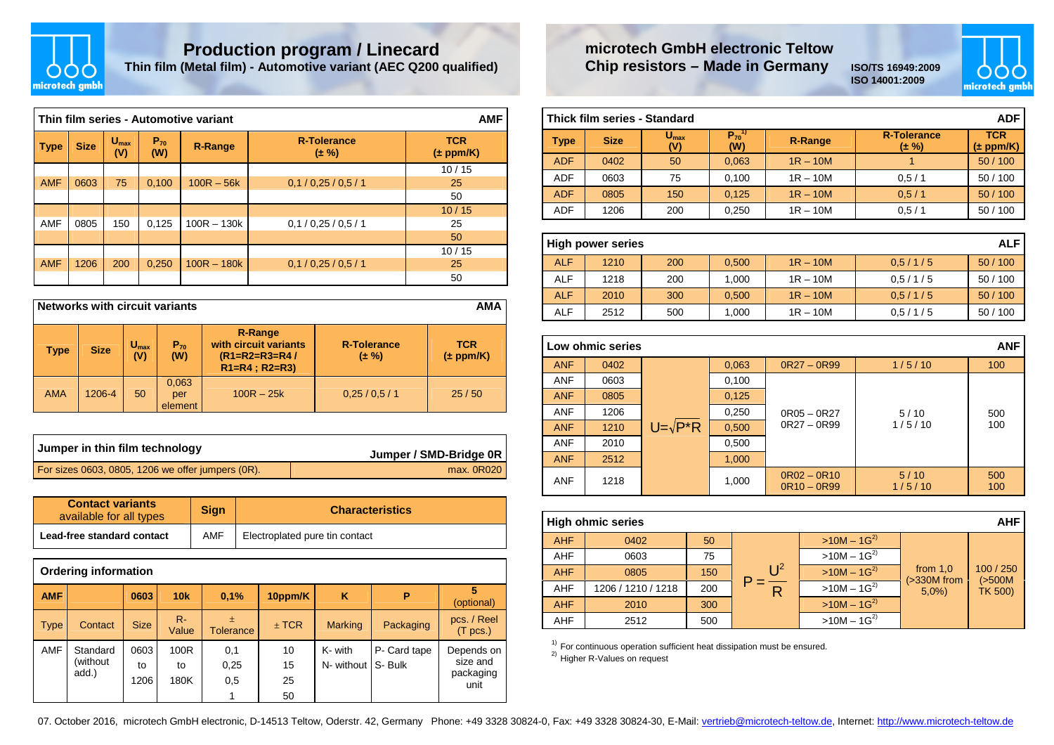

# **Production program / Linecard Thin film (Metal film) - Automotive variant (AEC Q200 qualified)**

|                                                                                            | Thin film series - Automotive variant |     |       |               |                                  |                             |  |  |  |  |  |
|--------------------------------------------------------------------------------------------|---------------------------------------|-----|-------|---------------|----------------------------------|-----------------------------|--|--|--|--|--|
| $U_{\text{max}}$<br>$P_{70}$<br><b>Size</b><br><b>Type</b><br><b>R-Range</b><br>(V)<br>(W) |                                       |     |       |               | <b>R-Tolerance</b><br>$(\pm \%)$ | <b>TCR</b><br>$(\pm$ ppm/K) |  |  |  |  |  |
|                                                                                            |                                       |     |       |               |                                  | 10/15                       |  |  |  |  |  |
| <b>AMF</b>                                                                                 | 0603                                  | 75  | 0,100 | $100R - 56k$  | 0,1/0,25/0,5/1                   | 25                          |  |  |  |  |  |
|                                                                                            |                                       |     |       |               |                                  | 50                          |  |  |  |  |  |
|                                                                                            |                                       |     |       |               |                                  | 10/15                       |  |  |  |  |  |
| <b>AMF</b>                                                                                 | 0805                                  | 150 | 0,125 | $100R - 130k$ | 0,1/0,25/0.5/1                   | 25                          |  |  |  |  |  |
|                                                                                            |                                       |     |       |               |                                  | 50                          |  |  |  |  |  |
|                                                                                            |                                       |     |       |               |                                  | 10/15                       |  |  |  |  |  |
| <b>AMF</b>                                                                                 | 1206                                  | 200 | 0,250 | $100R - 180k$ | 0,1/0,25/0.5/1                   | 25                          |  |  |  |  |  |
|                                                                                            |                                       |     |       |               |                                  | 50                          |  |  |  |  |  |

| <b>Networks with circuit variants</b><br><b>AMA</b> |             |                         |                         |                                                                                   |                                  |                             |  |  |
|-----------------------------------------------------|-------------|-------------------------|-------------------------|-----------------------------------------------------------------------------------|----------------------------------|-----------------------------|--|--|
| <b>Type</b>                                         | <b>Size</b> | $U_{\text{max}}$<br>(V) | $P_{70}$<br>(W)         | <b>R-Range</b><br>with circuit variants<br>$(R1=R2=R3=R4/$<br>$R1=R4$ ; $R2=R3$ ) | <b>R-Tolerance</b><br>$(\pm \%)$ | <b>TCR</b><br>$(\pm$ ppm/K) |  |  |
| <b>AMA</b>                                          | 1206-4      | 50                      | 0,063<br>per<br>element | $100R - 25k$                                                                      | 0.25/0.5/1                       | 25/50                       |  |  |

| Jumper in thin film technology                    | Jumper / SMD-Bridge 0R |
|---------------------------------------------------|------------------------|
| For sizes 0603, 0805, 1206 we offer jumpers (0R). | max. 0R020             |

| <b>Contact variants</b><br>available for all types | <b>Sign</b> | <b>Characteristics</b>         |
|----------------------------------------------------|-------------|--------------------------------|
| Lead-free standard contact                         | <b>AMF</b>  | Electroplated pure tin contact |

|             | <b>Ordering information</b>   |                    |                    |                       |                      |                                 |              |                                             |  |  |
|-------------|-------------------------------|--------------------|--------------------|-----------------------|----------------------|---------------------------------|--------------|---------------------------------------------|--|--|
| <b>AMF</b>  |                               | 0603               | 10k                | 0.1%                  | 10ppm/K              | ĸ                               | P            | (optional)                                  |  |  |
| <b>Type</b> | Contact                       | <b>Size</b>        | $R -$<br>Value     | 土<br><b>Tolerance</b> | $±$ TCR              | <b>Marking</b>                  | Packaging    | pcs. / Reel<br>(T <sub>pcs.</sub> )         |  |  |
| <b>AMF</b>  | Standard<br>(without<br>add.) | 0603<br>to<br>1206 | 100R<br>to<br>180K | 0,1<br>0,25<br>0,5    | 10<br>15<br>25<br>50 | K- with<br>N- without   S- Bulk | P- Card tape | Depends on<br>size and<br>packaging<br>unit |  |  |
|             |                               |                    |                    |                       |                      |                                 |              |                                             |  |  |

### **microtech GmbH electronic TeltowChip resistors – Made in Germany ISO/TS 16949:2009**

**ISO 14001:2009**



| l Thick film series - Standard<br>ADF |             |                         |                               |                |                                  |                             |  |  |  |
|---------------------------------------|-------------|-------------------------|-------------------------------|----------------|----------------------------------|-----------------------------|--|--|--|
| <b>Type</b>                           | <b>Size</b> | $U_{\text{max}}$<br>(V) | $P_{70}$ <sup>1)</sup><br>(W) | <b>R-Range</b> | <b>R-Tolerance</b><br>$(\pm \%)$ | <b>TCR</b><br>$(\pm$ ppm/K) |  |  |  |
| <b>ADF</b>                            | 0402        | 50                      | 0.063                         | $1R - 10M$     |                                  | 50/100                      |  |  |  |
| <b>ADF</b>                            | 0603        | 75                      | 0.100                         | $1R - 10M$     | 0.5/1                            | 50/100                      |  |  |  |
| <b>ADF</b>                            | 0805        | 150                     | 0,125                         | $1R - 10M$     | 0.5/1                            | 50/100                      |  |  |  |
| <b>ADF</b>                            | 1206        | 200                     | 0,250                         | $1R - 10M$     | 0.5/1                            | 50/100                      |  |  |  |

| <b>High power series</b> |      |     |       |            |         |        |  |  |
|--------------------------|------|-----|-------|------------|---------|--------|--|--|
| <b>ALF</b>               | 1210 | 200 | 0.500 | $1R - 10M$ | 0.5/1/5 | 50/100 |  |  |
| <b>ALF</b>               | 1218 | 200 | 1.000 | $1R - 10M$ | 0.5/1/5 | 50/100 |  |  |
| <b>ALF</b>               | 2010 | 300 | 0,500 | $1R - 10M$ | 0.5/1/5 | 50/100 |  |  |
| <b>ALF</b>               | 2512 | 500 | 1.000 | $1R - 10M$ | 0.5/1/5 | 50/100 |  |  |

| <b>ANF</b><br>Low ohmic series |      |                   |       |                                |                |            |  |  |  |  |
|--------------------------------|------|-------------------|-------|--------------------------------|----------------|------------|--|--|--|--|
| <b>ANF</b>                     | 0402 |                   | 0,063 | $OR27 - OR99$                  | 1/5/10         | 100        |  |  |  |  |
| <b>ANF</b>                     | 0603 |                   | 0,100 |                                |                |            |  |  |  |  |
| <b>ANF</b>                     | 0805 |                   | 0,125 | $0R05 - 0R27$<br>$0R27 - 0R99$ |                |            |  |  |  |  |
| <b>ANF</b>                     | 1206 |                   | 0,250 |                                | 5/10<br>1/5/10 | 500<br>100 |  |  |  |  |
| <b>ANF</b>                     | 1210 | $U = \sqrt{P^*R}$ | 0,500 |                                |                |            |  |  |  |  |
| <b>ANF</b>                     | 2010 |                   | 0,500 |                                |                |            |  |  |  |  |
| <b>ANF</b>                     | 2512 |                   | 1,000 |                                |                |            |  |  |  |  |
| <b>ANF</b>                     | 1218 |                   | 1,000 | $OR02 - OR10$<br>$OR10 - OR99$ | 5/10<br>1/5/10 | 500<br>100 |  |  |  |  |

| <b>AHF</b><br><b>High ohmic series</b> |                    |     |              |                            |                              |                      |  |
|----------------------------------------|--------------------|-----|--------------|----------------------------|------------------------------|----------------------|--|
| <b>AHF</b>                             | 0402               | 50  |              | $>10M - 1G^{2}$            |                              |                      |  |
| <b>AHF</b>                             | 0603               | 75  |              | $>10M - 1G^{2}$            | from $1,0$<br>$($ >330M from | 100 / 250<br>(>500M) |  |
| <b>AHF</b>                             | 0805               | 150 | $\sqrt{1^2}$ | $>10M - 1G^{2}$            |                              |                      |  |
| AHF                                    | 1206 / 1210 / 1218 | 200 |              | $>10M - \overline{1G^{2}}$ | 5,0%                         | TK 500)              |  |
| <b>AHF</b>                             | 2010               | 300 |              | $>10M - 1G^{2}$            |                              |                      |  |
| <b>AHF</b>                             | 2512               | 500 |              | $>10M - 1G^{2}$            |                              |                      |  |

<sup>1)</sup> For continuous operation sufficient heat dissipation must be ensured.<br><sup>2)</sup> Higher R-Values on request